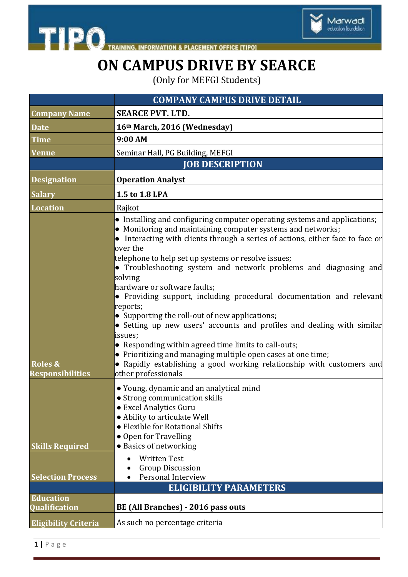

**INFORMATION & PLACEMENT OFFICE [TIPO]** 

# **ON CAMPUS DRIVE BY SEARCE**

Marwadi<br>education foundation

(Only for MEFGI Students)

|                                               | <b>COMPANY CAMPUS DRIVE DETAIL</b>                                                                                                                                                                                                                                                                                                                                                                                                                                                                                                                                                                                                                                                                                                                                                                                                                              |
|-----------------------------------------------|-----------------------------------------------------------------------------------------------------------------------------------------------------------------------------------------------------------------------------------------------------------------------------------------------------------------------------------------------------------------------------------------------------------------------------------------------------------------------------------------------------------------------------------------------------------------------------------------------------------------------------------------------------------------------------------------------------------------------------------------------------------------------------------------------------------------------------------------------------------------|
| <b>Company Name</b>                           | <b>SEARCE PVT. LTD.</b>                                                                                                                                                                                                                                                                                                                                                                                                                                                                                                                                                                                                                                                                                                                                                                                                                                         |
| <b>Date</b>                                   | 16th March, 2016 (Wednesday)                                                                                                                                                                                                                                                                                                                                                                                                                                                                                                                                                                                                                                                                                                                                                                                                                                    |
| Time                                          | 9:00 AM                                                                                                                                                                                                                                                                                                                                                                                                                                                                                                                                                                                                                                                                                                                                                                                                                                                         |
| Venue                                         | Seminar Hall, PG Building, MEFGI                                                                                                                                                                                                                                                                                                                                                                                                                                                                                                                                                                                                                                                                                                                                                                                                                                |
|                                               | <b>JOB DESCRIPTION</b>                                                                                                                                                                                                                                                                                                                                                                                                                                                                                                                                                                                                                                                                                                                                                                                                                                          |
| <b>Designation</b>                            | <b>Operation Analyst</b>                                                                                                                                                                                                                                                                                                                                                                                                                                                                                                                                                                                                                                                                                                                                                                                                                                        |
| <b>Salary</b>                                 | 1.5 to 1.8 LPA                                                                                                                                                                                                                                                                                                                                                                                                                                                                                                                                                                                                                                                                                                                                                                                                                                                  |
| <b>Location</b>                               | Rajkot                                                                                                                                                                                                                                                                                                                                                                                                                                                                                                                                                                                                                                                                                                                                                                                                                                                          |
| <b>Roles &amp;</b><br><b>Responsibilities</b> | • Installing and configuring computer operating systems and applications;<br>• Monitoring and maintaining computer systems and networks;<br>• Interacting with clients through a series of actions, either face to face or<br>over the<br>telephone to help set up systems or resolve issues;<br>• Troubleshooting system and network problems and diagnosing and<br>solving<br>hardware or software faults;<br>• Providing support, including procedural documentation and relevant<br>reports;<br>• Supporting the roll-out of new applications;<br>• Setting up new users' accounts and profiles and dealing with similar<br>issues;<br>• Responding within agreed time limits to call-outs;<br>• Prioritizing and managing multiple open cases at one time;<br>• Rapidly establishing a good working relationship with customers and<br>other professionals |
| <b>Skills Required</b>                        | • Young, dynamic and an analytical mind<br>• Strong communication skills<br>• Excel Analytics Guru<br>• Ability to articulate Well<br>• Flexible for Rotational Shifts<br>• Open for Travelling<br>• Basics of networking                                                                                                                                                                                                                                                                                                                                                                                                                                                                                                                                                                                                                                       |
| <b>Selection Process</b>                      | <b>Written Test</b><br><b>Group Discussion</b><br>Personal Interview                                                                                                                                                                                                                                                                                                                                                                                                                                                                                                                                                                                                                                                                                                                                                                                            |
|                                               | <b>ELIGIBILITY PARAMETERS</b>                                                                                                                                                                                                                                                                                                                                                                                                                                                                                                                                                                                                                                                                                                                                                                                                                                   |
| <b>Education</b>                              |                                                                                                                                                                                                                                                                                                                                                                                                                                                                                                                                                                                                                                                                                                                                                                                                                                                                 |
| <b>Qualification</b>                          | BE (All Branches) - 2016 pass outs                                                                                                                                                                                                                                                                                                                                                                                                                                                                                                                                                                                                                                                                                                                                                                                                                              |
| <b>Eligibility Criteria</b>                   | As such no percentage criteria                                                                                                                                                                                                                                                                                                                                                                                                                                                                                                                                                                                                                                                                                                                                                                                                                                  |